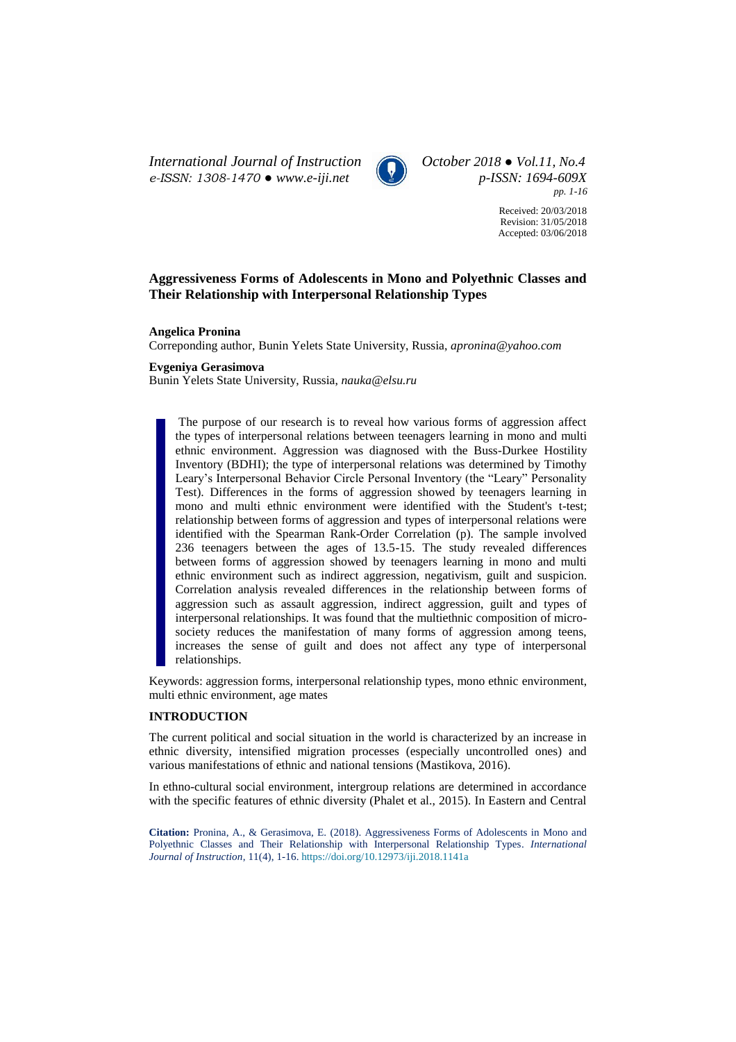*International Journal of Instruction October 2018 ● Vol.11, No.4 e-ISSN: 1308-1470 ● [www.e-iji.net](http://www.e-iji.net/) p-ISSN: 1694-609X*



*pp. 1-16*

Received: 20/03/2018 Revision: 31/05/2018 Accepted: 03/06/2018

# **Aggressiveness Forms of Adolescents in Mono and Polyethnic Classes and Their Relationship with Interpersonal Relationship Types**

#### **Angelica Pronina**

Correponding author, Bunin Yelets State University, Russia, *apronina@yahoo.com*

### **Evgeniya Gerasimova**

Bunin Yelets State University, Russia, *nauka@elsu.ru*

The purpose of our research is to reveal how various forms of aggression affect the types of interpersonal relations between teenagers learning in mono and multi ethnic environment. Aggression was diagnosed with the Buss-Durkee Hostility Inventory (BDHI); the type of interpersonal relations was determined by Timothy Leary's Interpersonal Behavior Circle Personal Inventory (the "Leary" Personality Test). Differences in the forms of aggression showed by teenagers learning in mono and multi ethnic environment were identified with the Student's t-test; relationship between forms of aggression and types of interpersonal relations were identified with the Spearman Rank-Order Correlation (p). The sample involved 236 teenagers between the ages of 13.5-15. The study revealed differences between forms of aggression showed by teenagers learning in mono and multi ethnic environment such as indirect aggression, negativism, guilt and suspicion. Correlation analysis revealed differences in the relationship between forms of aggression such as assault aggression, indirect aggression, guilt and types of interpersonal relationships. It was found that the multiethnic composition of microsociety reduces the manifestation of many forms of aggression among teens, increases the sense of guilt and does not affect any type of interpersonal relationships.

Keywords: aggression forms, interpersonal relationship types, mono ethnic environment, multi ethnic environment, age mates

## **INTRODUCTION**

The current political and social situation in the world is characterized by an increase in ethnic diversity, intensified migration processes (especially uncontrolled ones) and various manifestations of ethnic and national tensions (Mastikova, 2016).

In ethno-cultural social environment, intergroup relations are determined in accordance with the specific features of ethnic diversity (Phalet et al., 2015). In Eastern and Central

**Citation:** Pronina, A., & Gerasimova, E. (2018). Aggressiveness Forms of Adolescents in Mono and Polyethnic Classes and Their Relationship with Interpersonal Relationship Types. *International Journal of Instruction*, 11(4), 1-16. <https://doi.org/10.12973/iji.2018.1141a>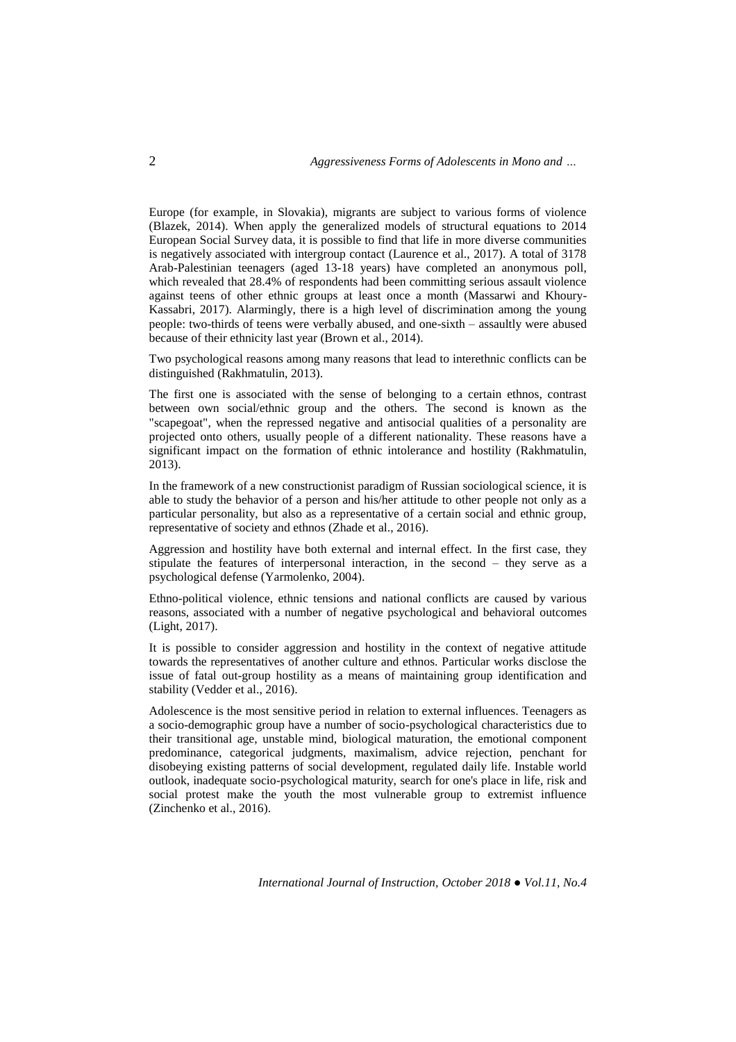Europe (for example, in Slovakia), migrants are subject to various forms of violence (Blazek, 2014). When apply the generalized models of structural equations to 2014 European Social Survey data, it is possible to find that life in more diverse communities is negatively associated with intergroup contact (Laurence et al., 2017). A total of 3178 Arab-Palestinian teenagers (aged 13-18 years) have completed an anonymous poll, which revealed that 28.4% of respondents had been committing serious assault violence against teens of other ethnic groups at least once a month (Massarwi and Khoury-Kassabri, 2017). Alarmingly, there is a high level of discrimination among the young people: two-thirds of teens were verbally abused, and one-sixth – assaultly were abused because of their ethnicity last year (Brown et al., 2014).

Two psychological reasons among many reasons that lead to interethnic conflicts can be distinguished (Rakhmatulin, 2013).

The first one is associated with the sense of belonging to a certain ethnos, contrast between own social/ethnic group and the others. The second is known as the "scapegoat", when the repressed negative and antisocial qualities of a personality are projected onto others, usually people of a different nationality. These reasons have a significant impact on the formation of ethnic intolerance and hostility (Rakhmatulin, 2013).

In the framework of a new constructionist paradigm of Russian sociological science, it is able to study the behavior of a person and his/her attitude to other people not only as a particular personality, but also as a representative of a certain social and ethnic group, representative of society and ethnos (Zhade et al., 2016).

Aggression and hostility have both external and internal effect. In the first case, they stipulate the features of interpersonal interaction, in the second – they serve as a psychological defense (Yarmolenko, 2004).

Ethno-political violence, ethnic tensions and national conflicts are caused by various reasons, associated with a number of negative psychological and behavioral outcomes (Light, 2017).

It is possible to consider aggression and hostility in the context of negative attitude towards the representatives of another culture and ethnos. Particular works disclose the issue of fatal out-group hostility as a means of maintaining group identification and stability (Vedder et al., 2016).

Adolescence is the most sensitive period in relation to external influences. Teenagers as a socio-demographic group have a number of socio-psychological characteristics due to their transitional age, unstable mind, biological maturation, the emotional component predominance, categorical judgments, maximalism, advice rejection, penchant for disobeying existing patterns of social development, regulated daily life. Instable world outlook, inadequate socio-psychological maturity, search for one's place in life, risk and social protest make the youth the most vulnerable group to extremist influence (Zinchenko et al., 2016).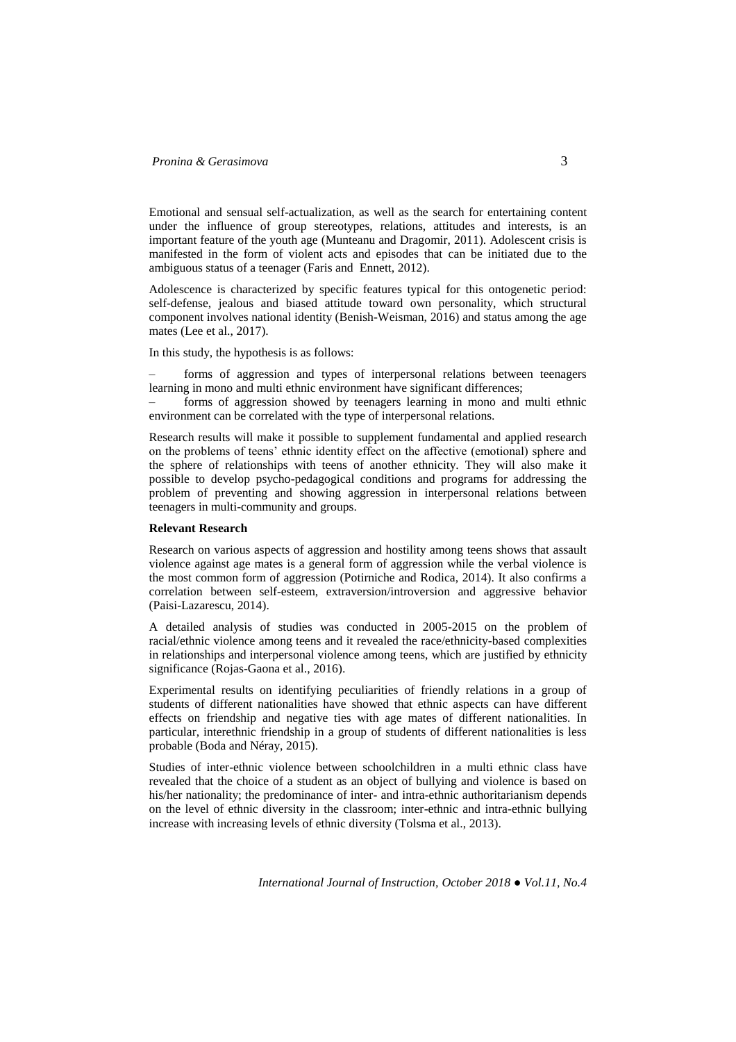# *Pronina & Gerasimova* **3**

Emotional and sensual self-actualization, as well as the search for entertaining content under the influence of group stereotypes, relations, attitudes and interests, is an important feature of the youth age (Munteanu and Dragomir, 2011). Adolescent crisis is manifested in the form of violent acts and episodes that can be initiated due to the ambiguous status of a teenager (Faris and Ennett, 2012).

Adolescence is characterized by specific features typical for this ontogenetic period: self-defense, jealous and biased attitude toward own personality, which structural component involves national identity (Benish-Weisman, 2016) and status among the age mates (Lee et al., 2017).

In this study, the hypothesis is as follows:

‒ forms of aggression and types of interpersonal relations between teenagers learning in mono and multi ethnic environment have significant differences;

‒ forms of aggression showed by teenagers learning in mono and multi ethnic environment can be correlated with the type of interpersonal relations.

Research results will make it possible to supplement fundamental and applied research on the problems of teens' ethnic identity effect on the affective (emotional) sphere and the sphere of relationships with teens of another ethnicity. They will also make it possible to develop psycho-pedagogical conditions and programs for addressing the problem of preventing and showing aggression in interpersonal relations between teenagers in multi-community and groups.

#### **Relevant Research**

Research on various aspects of aggression and hostility among teens shows that assault violence against age mates is a general form of aggression while the verbal violence is the most common form of aggression (Potirniche and Rodica, 2014). It also confirms a correlation between self-esteem, extraversion/introversion and aggressive behavior (Paisi-Lazarescu, 2014).

A detailed analysis of studies was conducted in 2005-2015 on the problem of racial/ethnic violence among teens and it revealed the race/ethnicity-based complexities in relationships and interpersonal violence among teens, which are justified by ethnicity significance (Rojas-Gaona et al., 2016).

Experimental results on identifying peculiarities of friendly relations in a group of students of different nationalities have showed that ethnic aspects can have different effects on friendship and negative ties with age mates of different nationalities. In particular, interethnic friendship in a group of students of different nationalities is less probable (Boda and Néray, 2015).

Studies of inter-ethnic violence between schoolchildren in a multi ethnic class have revealed that the choice of a student as an object of bullying and violence is based on his/her nationality; the predominance of inter- and intra-ethnic authoritarianism depends on the level of ethnic diversity in the classroom; inter-ethnic and intra-ethnic bullying increase with increasing levels of ethnic diversity (Tolsma et al., 2013).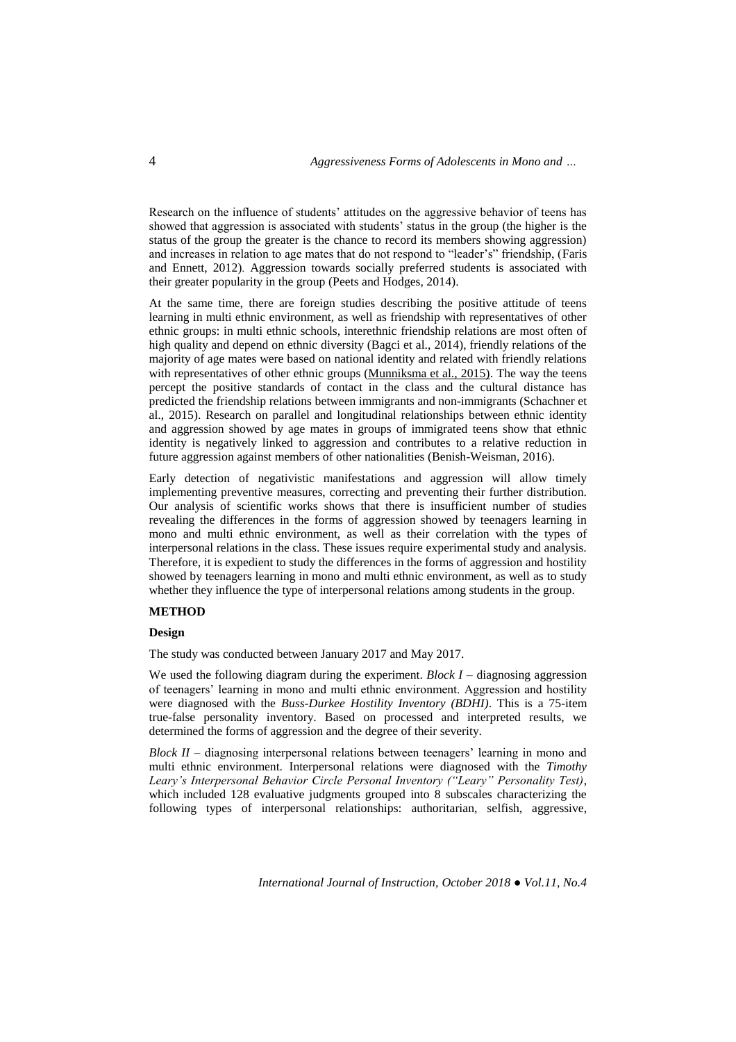Research on the influence of students' attitudes on the aggressive behavior of teens has showed that aggression is associated with students' status in the group (the higher is the status of the group the greater is the chance to record its members showing aggression) and increases in relation to age mates that do not respond to "leader's" friendship, [\(Faris](http://www.sciencedirect.com/science/article/pii/S037887331000033X#!) and [Ennett,](http://www.sciencedirect.com/science/article/pii/S037887331000033X#!) 2012). Aggression towards socially preferred students is associated with their greater popularity in the group (Peets and Hodges, 2014).

At the same time, there are foreign studies describing the positive attitude of teens learning in multi ethnic environment, as well as friendship with representatives of other ethnic groups: in multi ethnic schools, interethnic friendship relations are most often of high quality and depend on ethnic diversity (Bagci et al., 2014), friendly relations of the majority of age mates were based on national identity and related with friendly relations with representatives of other ethnic groups [\(Munniksma](http://www.sciencedirect.com/science/article/pii/S0147176714001461) et al., 2015). The way the teens percept the positive standards of contact in the class and the cultural distance has predicted the friendship relations between immigrants and non-immigrants (Schachner et al., 2015). Research on parallel and longitudinal relationships between ethnic identity and aggression showed by age mates in groups of immigrated teens show that ethnic identity is negatively linked to aggression and contributes to a relative reduction in future aggression against members of other nationalities (Benish-Weisman, 2016).

Early detection of negativistic manifestations and aggression will allow timely implementing preventive measures, correcting and preventing their further distribution. Our analysis of scientific works shows that there is insufficient number of studies revealing the differences in the forms of aggression showed by teenagers learning in mono and multi ethnic environment, as well as their correlation with the types of interpersonal relations in the class. These issues require experimental study and analysis. Therefore, it is expedient to study the differences in the forms of aggression and hostility showed by teenagers learning in mono and multi ethnic environment, as well as to study whether they influence the type of interpersonal relations among students in the group.

## **METHOD**

## **Design**

The study was conducted between January 2017 and May 2017.

We used the following diagram during the experiment. *Block I* – diagnosing aggression of teenagers' learning in mono and multi ethnic environment. Aggression and hostility were diagnosed with the *Buss-Durkee Hostility Inventory (BDHI)*. This is a 75-item true-false personality inventory. Based on processed and interpreted results, we determined the forms of aggression and the degree of their severity.

*Block II* – diagnosing interpersonal relations between teenagers' learning in mono and multi ethnic environment. Interpersonal relations were diagnosed with the *Timothy Leary's Interpersonal Behavior Circle Personal Inventory ("Leary" Personality Test)*, which included 128 evaluative judgments grouped into 8 subscales characterizing the following types of interpersonal relationships: authoritarian, selfish, aggressive,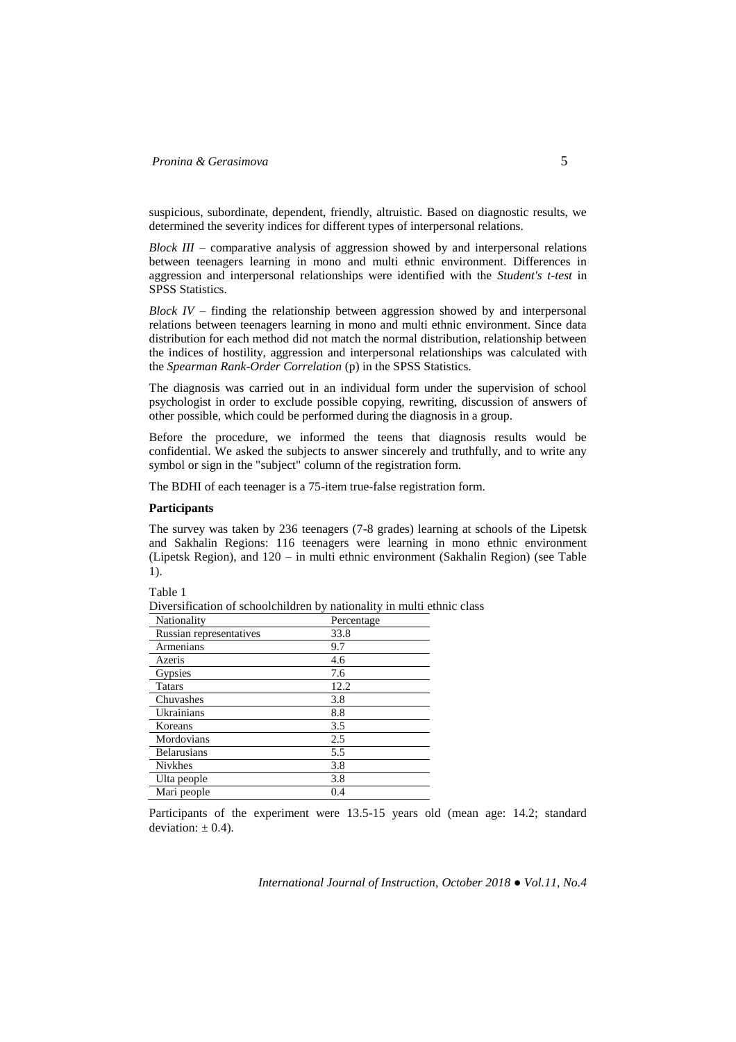suspicious, subordinate, dependent, friendly, altruistic. Based on diagnostic results, we determined the severity indices for different types of interpersonal relations.

*Block III* – comparative analysis of aggression showed by and interpersonal relations between teenagers learning in mono and multi ethnic environment. Differences in aggression and interpersonal relationships were identified with the *Student's t-test* in SPSS Statistics.

*Block IV* – finding the relationship between aggression showed by and interpersonal relations between teenagers learning in mono and multi ethnic environment. Since data distribution for each method did not match the normal distribution, relationship between the indices of hostility, aggression and interpersonal relationships was calculated with the *Spearman Rank-Order Correlation* (p) in the SPSS Statistics.

The diagnosis was carried out in an individual form under the supervision of school psychologist in order to exclude possible copying, rewriting, discussion of answers of other possible, which could be performed during the diagnosis in a group.

Before the procedure, we informed the teens that diagnosis results would be confidential. We asked the subjects to answer sincerely and truthfully, and to write any symbol or sign in the "subject" column of the registration form.

The BDHI of each teenager is a 75-item true-false registration form.

## **Participants**

The survey was taken by 236 teenagers (7-8 grades) learning at schools of the Lipetsk and Sakhalin Regions: 116 teenagers were learning in mono ethnic environment (Lipetsk Region), and 120 – in multi ethnic environment (Sakhalin Region) (see Table 1).

Table 1

Diversification of schoolchildren by nationality in multi ethnic class

| Nationality             | Percentage |
|-------------------------|------------|
| Russian representatives | 33.8       |
| Armenians               | 9.7        |
| Azeris                  | 4.6        |
| Gypsies                 | 7.6        |
| <b>Tatars</b>           | 12.2       |
| Chuvashes               | 3.8        |
| Ukrainians              | 8.8        |
| Koreans                 | 3.5        |
| Mordovians              | 2.5        |
| <b>Belarusians</b>      | 5.5        |
| <b>Nivkhes</b>          | 3.8        |
| Ulta people             | 3.8        |
| Mari people             | 0.4        |

Participants of the experiment were 13.5-15 years old (mean age: 14.2; standard deviation:  $\pm$  0.4).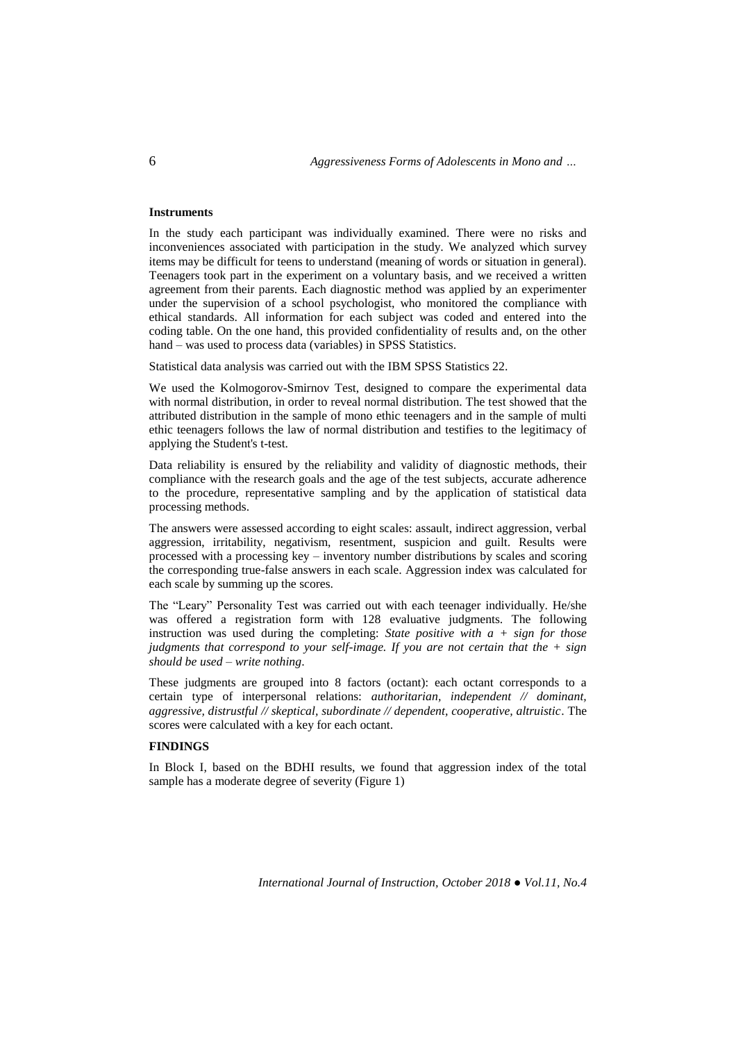## **Instruments**

In the study each participant was individually examined. There were no risks and inconveniences associated with participation in the study. We analyzed which survey items may be difficult for teens to understand (meaning of words or situation in general). Teenagers took part in the experiment on a voluntary basis, and we received a written agreement from their parents. Each diagnostic method was applied by an experimenter under the supervision of a school psychologist, who monitored the compliance with ethical standards. All information for each subject was coded and entered into the coding table. On the one hand, this provided confidentiality of results and, on the other hand – was used to process data (variables) in SPSS Statistics.

Statistical data analysis was carried out with the IBM SPSS Statistics 22.

We used the Kolmogorov-Smirnov Test, designed to compare the experimental data with normal distribution, in order to reveal normal distribution. The test showed that the attributed distribution in the sample of mono ethic teenagers and in the sample of multi ethic teenagers follows the law of normal distribution and testifies to the legitimacy of applying the Student's t-test.

Data reliability is ensured by the reliability and validity of diagnostic methods, their compliance with the research goals and the age of the test subjects, accurate adherence to the procedure, representative sampling and by the application of statistical data processing methods.

The answers were assessed according to eight scales: assault, indirect aggression, verbal aggression, irritability, negativism, resentment, suspicion and guilt. Results were processed with a processing key – inventory number distributions by scales and scoring the corresponding true-false answers in each scale. Aggression index was calculated for each scale by summing up the scores.

The "Leary" Personality Test was carried out with each teenager individually. He/she was offered a registration form with 128 evaluative judgments. The following instruction was used during the completing: *State positive with a + sign for those judgments that correspond to your self-image. If you are not certain that the + sign should be used – write nothing*.

These judgments are grouped into 8 factors (octant): each octant corresponds to a certain type of interpersonal relations: *authoritarian, independent // dominant, aggressive, distrustful // skeptical, subordinate // dependent, cooperative, altruistic*. The scores were calculated with a key for each octant.

## **FINDINGS**

In Block I, based on the BDHI results, we found that aggression index of the total sample has a moderate degree of severity (Figure 1)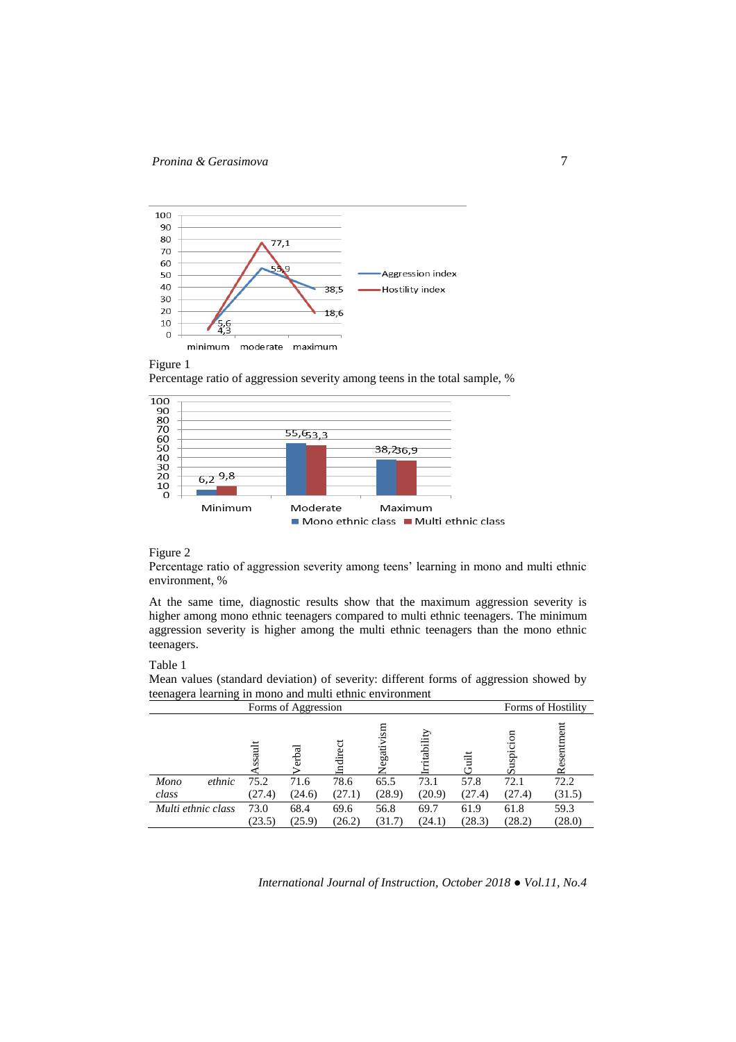

#### Figure 1

Percentage ratio of aggression severity among teens in the total sample, %



### Figure 2

Percentage ratio of aggression severity among teens' learning in mono and multi ethnic environment, %

At the same time, diagnostic results show that the maximum aggression severity is higher among mono ethnic teenagers compared to multi ethnic teenagers. The minimum aggression severity is higher among the multi ethnic teenagers than the mono ethnic teenagers.

#### Table 1

Mean values (standard deviation) of severity: different forms of aggression showed by teenagera learning in mono and multi ethnic environment

| Forms of Aggression |        |        |         |                 |            | Forms of Hostility |           |           |
|---------------------|--------|--------|---------|-----------------|------------|--------------------|-----------|-----------|
|                     | ssaul  | erbal  | ndirect | $\sin$<br>egati | ritability | Έ                  | uspi<br>ū | esentment |
| Mono<br>ethnic      | 75.2   | 71.6   | 78.6    | 65.5            | 73.1       | 57.8               | 72.1      | 72.2      |
| class               | (27.4) | (24.6) | (27.1)  | (28.9)          | (20.9)     | (27.4)             | (27.4)    | (31.5)    |
| Multi ethnic class  | 73.0   | 68.4   | 69.6    | 56.8            | 69.7       | 61.9               | 61.8      | 59.3      |
|                     | (23.5) | (25.9) | (26.2)  | (31.7)          | (24.1)     | (28.3)             | (28.2)    | (28.0)    |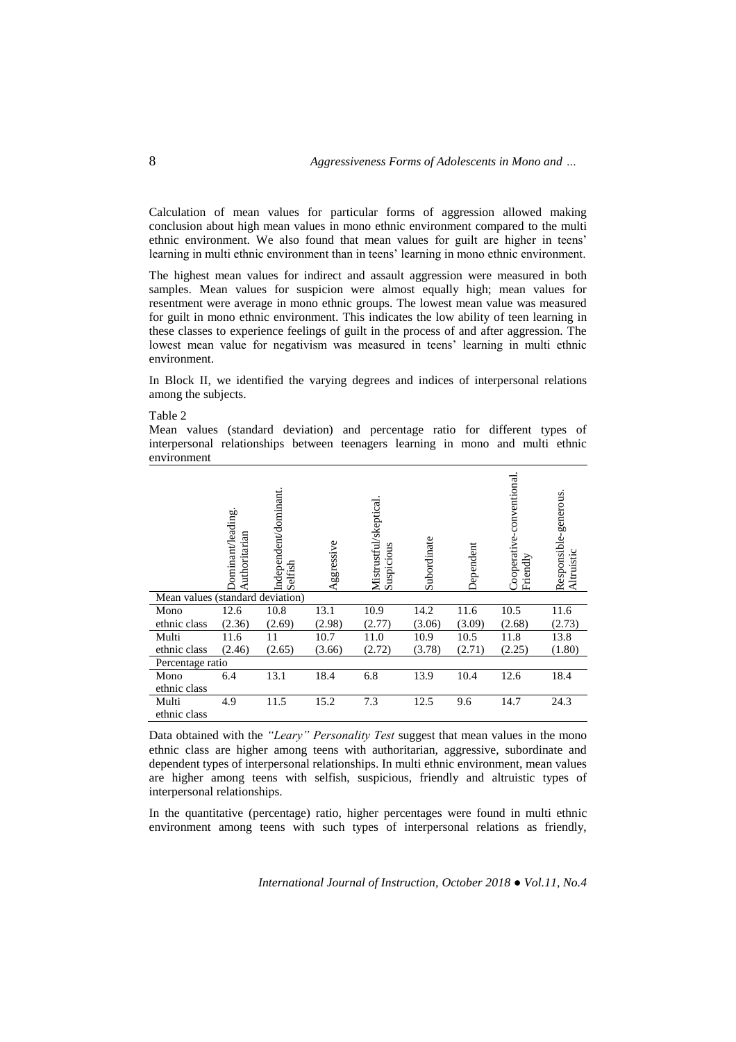Calculation of mean values for particular forms of aggression allowed making conclusion about high mean values in mono ethnic environment compared to the multi ethnic environment. We also found that mean values for guilt are higher in teens' learning in multi ethnic environment than in teens' learning in mono ethnic environment.

The highest mean values for indirect and assault aggression were measured in both samples. Mean values for suspicion were almost equally high; mean values for resentment were average in mono ethnic groups. The lowest mean value was measured for guilt in mono ethnic environment. This indicates the low ability of teen learning in these classes to experience feelings of guilt in the process of and after aggression. The lowest mean value for negativism was measured in teens' learning in multi ethnic environment.

In Block II*,* we identified the varying degrees and indices of interpersonal relations among the subjects.

Table 2

Mean values (standard deviation) and percentage ratio for different types of interpersonal relationships between teenagers learning in mono and multi ethnic environment

|                                  | Oominant/leading.<br>uthoritarian | Independent/dominant.<br>Selfish | Aggressive | Mistrustful/skeptical<br>Suspicious | Subordinate | Dependent | Cooperative-conventional<br>Friendly | Responsible-generous.<br>Altruistic |
|----------------------------------|-----------------------------------|----------------------------------|------------|-------------------------------------|-------------|-----------|--------------------------------------|-------------------------------------|
| Mean values (standard deviation) |                                   |                                  |            |                                     |             |           |                                      |                                     |
| Mono                             | 12.6                              | 10.8                             | 13.1       | 10.9                                | 14.2        | 11.6      | 10.5                                 | 11.6                                |
| ethnic class                     | (2.36)                            | (2.69)                           | (2.98)     | (2.77)                              | (3.06)      | (3.09)    | (2.68)                               | (2.73)                              |
| Multi                            | 11.6                              | 11                               | 10.7       | 11.0                                | 10.9        | 10.5      | 11.8                                 | 13.8                                |
| ethnic class                     | (2.46)                            | (2.65)                           | (3.66)     | (2.72)                              | (3.78)      | (2.71)    | (2.25)                               | (1.80)                              |
| Percentage ratio                 |                                   |                                  |            |                                     |             |           |                                      |                                     |
| Mono                             | 6.4                               | 13.1                             | 18.4       | 6.8                                 | 13.9        | 10.4      | 12.6                                 | 18.4                                |
| ethnic class                     |                                   |                                  |            |                                     |             |           |                                      |                                     |
| Multi                            | 4.9                               | 11.5                             | 15.2       | 7.3                                 | 12.5        | 9.6       | 14.7                                 | 24.3                                |
| ethnic class                     |                                   |                                  |            |                                     |             |           |                                      |                                     |

Data obtained with the *"Leary" Personality Test* suggest that mean values in the mono ethnic class are higher among teens with authoritarian, aggressive, subordinate and dependent types of interpersonal relationships. In multi ethnic environment, mean values are higher among teens with selfish, suspicious, friendly and altruistic types of interpersonal relationships.

In the quantitative (percentage) ratio, higher percentages were found in multi ethnic environment among teens with such types of interpersonal relations as friendly,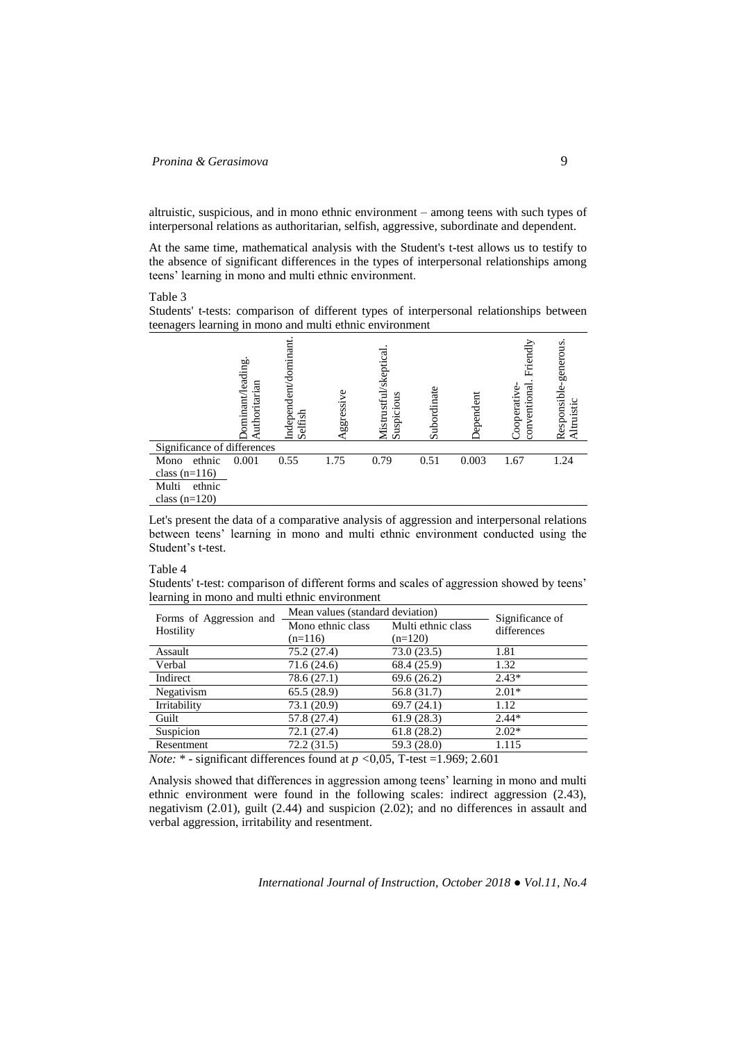altruistic, suspicious, and in mono ethnic environment – among teens with such types of interpersonal relations as authoritarian, selfish, aggressive, subordinate and dependent.

At the same time, mathematical analysis with the Student's t-test allows us to testify to the absence of significant differences in the types of interpersonal relationships among teens' learning in mono and multi ethnic environment.

Table 3

Students' t-tests: comparison of different types of interpersonal relationships between teenagers learning in mono and multi ethnic environment

|                             | ominant/leading.<br>uthoritarian | Independent/dominant<br>Selfish | ggressive | Mistrustful/skeptical<br>Suspicious | Subordinate | bependent | Friendly<br>conventional<br>Cooperative | generous<br>Responsible-<br>Altruistic |
|-----------------------------|----------------------------------|---------------------------------|-----------|-------------------------------------|-------------|-----------|-----------------------------------------|----------------------------------------|
| Significance of differences |                                  |                                 |           |                                     |             |           |                                         |                                        |
| ethnic<br>Mono              | 0.001                            | 0.55                            | 1.75      | 0.79                                | 0.51        | 0.003     | 1.67                                    | 1.24                                   |
| class $(n=116)$             |                                  |                                 |           |                                     |             |           |                                         |                                        |
| Multi<br>ethnic             |                                  |                                 |           |                                     |             |           |                                         |                                        |
| class $(n=120)$             |                                  |                                 |           |                                     |             |           |                                         |                                        |

Let's present the data of a comparative analysis of aggression and interpersonal relations between teens' learning in mono and multi ethnic environment conducted using the Student's t-test.

#### Table 4

Students' t-test: comparison of different forms and scales of aggression showed by teens' learning in mono and multi ethnic environment

| Forms of Aggression and                                                                                                                                                                                                                                                                                                                                                                                         | Mean values (standard deviation) | Significance of    |             |  |
|-----------------------------------------------------------------------------------------------------------------------------------------------------------------------------------------------------------------------------------------------------------------------------------------------------------------------------------------------------------------------------------------------------------------|----------------------------------|--------------------|-------------|--|
| Hostility                                                                                                                                                                                                                                                                                                                                                                                                       | Mono ethnic class                | Multi ethnic class | differences |  |
|                                                                                                                                                                                                                                                                                                                                                                                                                 | $(n=116)$                        | $(n=120)$          |             |  |
| Assault                                                                                                                                                                                                                                                                                                                                                                                                         | 75.2 (27.4)                      | 73.0 (23.5)        | 1.81        |  |
| Verbal                                                                                                                                                                                                                                                                                                                                                                                                          | 71.6(24.6)                       | 68.4 (25.9)        | 1.32        |  |
| Indirect                                                                                                                                                                                                                                                                                                                                                                                                        | 78.6 (27.1)                      | 69.6(26.2)         | $2.43*$     |  |
| Negativism                                                                                                                                                                                                                                                                                                                                                                                                      | 65.5(28.9)                       | 56.8 (31.7)        | $2.01*$     |  |
| Irritability                                                                                                                                                                                                                                                                                                                                                                                                    | 73.1 (20.9)                      | 69.7(24.1)         | 1.12        |  |
| Guilt                                                                                                                                                                                                                                                                                                                                                                                                           | 57.8 (27.4)                      | 61.9(28.3)         | $2.44*$     |  |
| Suspicion                                                                                                                                                                                                                                                                                                                                                                                                       | 72.1 (27.4)                      | 61.8(28.2)         | $2.02*$     |  |
| Resentment                                                                                                                                                                                                                                                                                                                                                                                                      | 72.2(31.5)                       | 59.3 (28.0)        | 1.115       |  |
| $M_{\odot}$ $\rightarrow$ $M_{\odot}$ $\rightarrow$ $M_{\odot}$ $M_{\odot}$ $M_{\odot}$ $\rightarrow$ $M_{\odot}$ $\rightarrow$ $M_{\odot}$ $\rightarrow$ $M_{\odot}$ $\rightarrow$ $M_{\odot}$ $\rightarrow$ $M_{\odot}$ $\rightarrow$ $M_{\odot}$ $\rightarrow$ $M_{\odot}$ $\rightarrow$ $M_{\odot}$ $\rightarrow$ $M_{\odot}$ $\rightarrow$ $M_{\odot}$ $\rightarrow$ $M_{\odot}$ $\rightarrow$ $M_{\odot}$ |                                  |                    |             |  |

*Note:* \* - significant differences found at *p <*0,05, Т-test =1.969; 2.601

Analysis showed that differences in aggression among teens' learning in mono and multi ethnic environment were found in the following scales: indirect aggression (2.43), negativism (2.01), guilt (2.44) and suspicion (2.02); and no differences in assault and verbal aggression, irritability and resentment.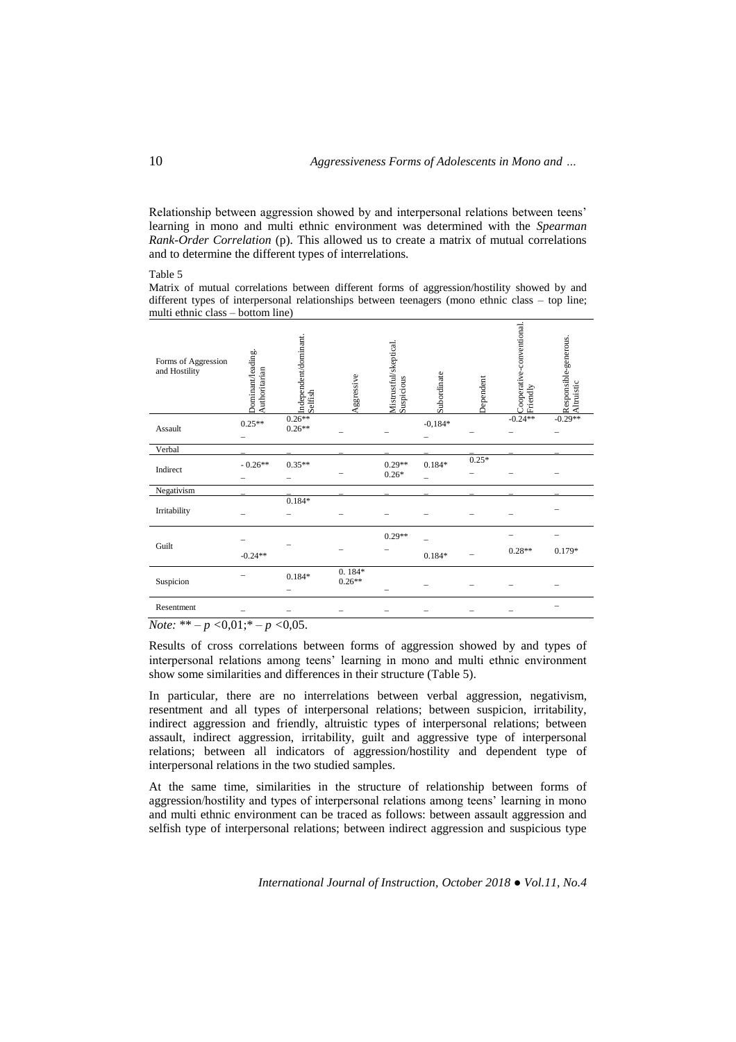Relationship between aggression showed by and interpersonal relations between teens' learning in mono and multi ethnic environment was determined with the *Spearman Rank-Order Correlation* (p). This allowed us to create a matrix of mutual correlations and to determine the different types of interrelations.

#### Table 5

Matrix of mutual correlations between different forms of aggression/hostility showed by and different types of interpersonal relationships between teenagers (mono ethnic class – top line; multi ethnic class – bottom line)

| Forms of Aggression<br>and Hostility | Oominant/leading.<br>Authoritarian | Independent/dominant.<br>Selfish | Aggressive           | Mistrustful/skeptical.<br>Suspicious | Subordinate | Dependent | Cooperative-conventional.<br>Friendly | Responsible-generous.<br>Altruistic |
|--------------------------------------|------------------------------------|----------------------------------|----------------------|--------------------------------------|-------------|-----------|---------------------------------------|-------------------------------------|
| Assault                              | $0.25**$                           | $0.26**$<br>$0.26**$             |                      |                                      | $-0,184*$   |           | $-0.24**$                             | $-0.29**$                           |
| Verbal                               |                                    |                                  |                      |                                      |             |           |                                       |                                     |
| Indirect                             | $-0.26**$                          | $0.35**$                         |                      | $0.29**$<br>$0.26*$                  | $0.184*$    | $0.25*$   |                                       |                                     |
| Negativism                           |                                    |                                  |                      |                                      |             |           |                                       |                                     |
| Irritability                         |                                    | $0.184*$                         |                      |                                      |             |           |                                       |                                     |
| Guilt                                |                                    |                                  |                      | $0.29**$                             |             |           |                                       |                                     |
|                                      | $-0.24**$                          |                                  |                      |                                      | $0.184*$    |           | $0.28**$                              | $0.179*$                            |
| Suspicion                            |                                    | $0.184*$                         | $0.184*$<br>$0.26**$ |                                      |             |           |                                       |                                     |
| Resentment                           |                                    |                                  |                      |                                      |             |           |                                       |                                     |
| ماله ماله<br>$\mathbf{X}$            | 0.01 <sub>0</sub>                  | 0.07                             |                      |                                      |             |           |                                       |                                     |

*Note:* \*\* – *p <*0,01;\* – *p <*0,05.

Results of cross correlations between forms of aggression showed by and types of interpersonal relations among teens' learning in mono and multi ethnic environment show some similarities and differences in their structure (Table 5).

In particular, there are no interrelations between verbal aggression, negativism, resentment and all types of interpersonal relations; between suspicion, irritability, indirect aggression and friendly, altruistic types of interpersonal relations; between assault, indirect aggression, irritability, guilt and aggressive type of interpersonal relations; between all indicators of aggression/hostility and dependent type of interpersonal relations in the two studied samples.

At the same time, similarities in the structure of relationship between forms of aggression/hostility and types of interpersonal relations among teens' learning in mono and multi ethnic environment can be traced as follows: between assault aggression and selfish type of interpersonal relations; between indirect aggression and suspicious type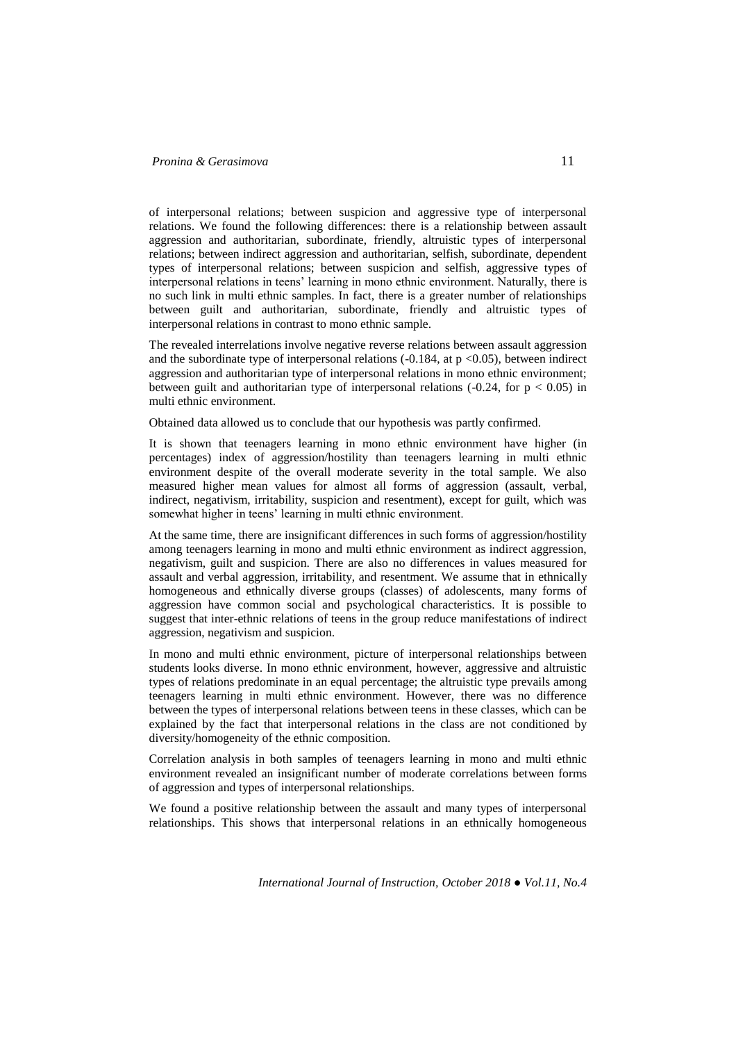## *Pronina & Gerasimova* 11

of interpersonal relations; between suspicion and aggressive type of interpersonal relations. We found the following differences: there is a relationship between assault aggression and authoritarian, subordinate, friendly, altruistic types of interpersonal relations; between indirect aggression and authoritarian, selfish, subordinate, dependent types of interpersonal relations; between suspicion and selfish, aggressive types of interpersonal relations in teens' learning in mono ethnic environment. Naturally, there is no such link in multi ethnic samples. In fact, there is a greater number of relationships between guilt and authoritarian, subordinate, friendly and altruistic types of interpersonal relations in contrast to mono ethnic sample.

The revealed interrelations involve negative reverse relations between assault aggression and the subordinate type of interpersonal relations  $(-0.184, \text{ at } p \le 0.05)$ , between indirect aggression and authoritarian type of interpersonal relations in mono ethnic environment; between guilt and authoritarian type of interpersonal relations  $(-0.24, \text{ for } p < 0.05)$  in multi ethnic environment.

Obtained data allowed us to conclude that our hypothesis was partly confirmed.

It is shown that teenagers learning in mono ethnic environment have higher (in percentages) index of aggression/hostility than teenagers learning in multi ethnic environment despite of the overall moderate severity in the total sample. We also measured higher mean values for almost all forms of aggression (assault, verbal, indirect, negativism, irritability, suspicion and resentment), except for guilt, which was somewhat higher in teens' learning in multi ethnic environment.

At the same time, there are insignificant differences in such forms of aggression/hostility among teenagers learning in mono and multi ethnic environment as indirect aggression, negativism, guilt and suspicion. There are also no differences in values measured for assault and verbal aggression, irritability, and resentment. We assume that in ethnically homogeneous and ethnically diverse groups (classes) of adolescents, many forms of aggression have common social and psychological characteristics. It is possible to suggest that inter-ethnic relations of teens in the group reduce manifestations of indirect aggression, negativism and suspicion.

In mono and multi ethnic environment, picture of interpersonal relationships between students looks diverse. In mono ethnic environment, however, aggressive and altruistic types of relations predominate in an equal percentage; the altruistic type prevails among teenagers learning in multi ethnic environment. However, there was no difference between the types of interpersonal relations between teens in these classes, which can be explained by the fact that interpersonal relations in the class are not conditioned by diversity/homogeneity of the ethnic composition.

Correlation analysis in both samples of teenagers learning in mono and multi ethnic environment revealed an insignificant number of moderate correlations between forms of aggression and types of interpersonal relationships.

We found a positive relationship between the assault and many types of interpersonal relationships. This shows that interpersonal relations in an ethnically homogeneous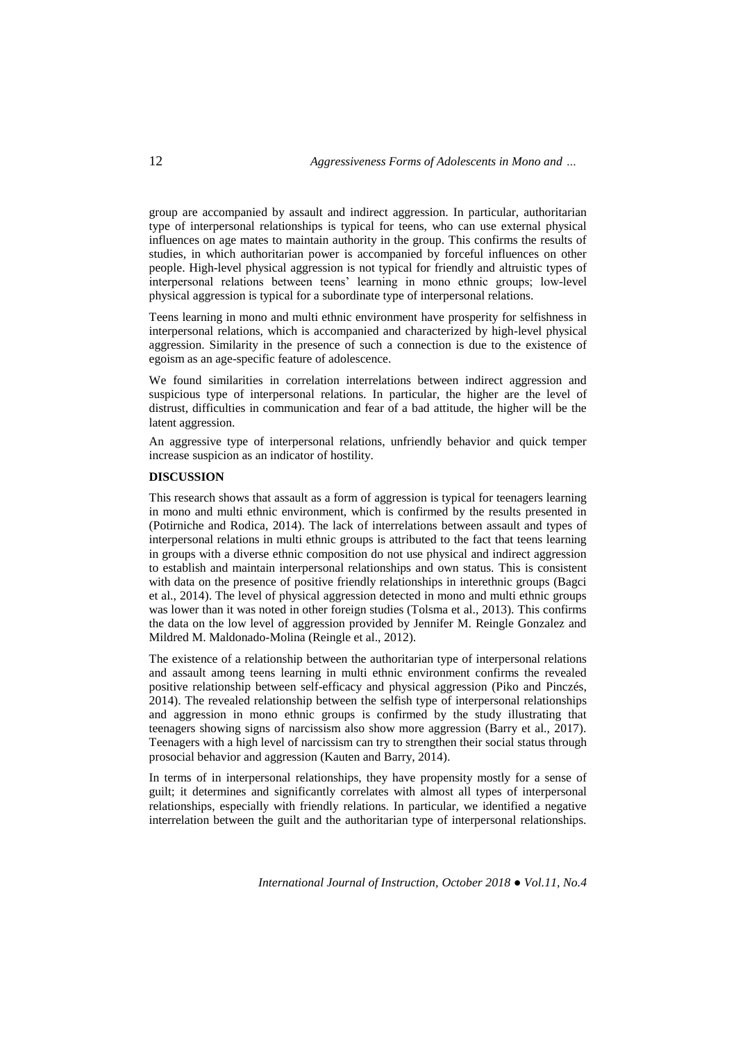group are accompanied by assault and indirect aggression. In particular, authoritarian type of interpersonal relationships is typical for teens, who can use external physical influences on age mates to maintain authority in the group. This confirms the results of studies, in which authoritarian power is accompanied by forceful influences on other people. High-level physical aggression is not typical for friendly and altruistic types of interpersonal relations between teens' learning in mono ethnic groups; low-level physical aggression is typical for a subordinate type of interpersonal relations.

Teens learning in mono and multi ethnic environment have prosperity for selfishness in interpersonal relations, which is accompanied and characterized by high-level physical aggression. Similarity in the presence of such a connection is due to the existence of egoism as an age-specific feature of adolescence.

We found similarities in correlation interrelations between indirect aggression and suspicious type of interpersonal relations. In particular, the higher are the level of distrust, difficulties in communication and fear of a bad attitude, the higher will be the latent aggression.

An aggressive type of interpersonal relations, unfriendly behavior and quick temper increase suspicion as an indicator of hostility.

#### **DISCUSSION**

This research shows that assault as a form of aggression is typical for teenagers learning in mono and multi ethnic environment, which is confirmed by the results presented in (Potirniche and Rodica, 2014). The lack of interrelations between assault and types of interpersonal relations in multi ethnic groups is attributed to the fact that teens learning in groups with a diverse ethnic composition do not use physical and indirect aggression to establish and maintain interpersonal relationships and own status. This is consistent with data on the presence of positive friendly relationships in interethnic groups (Bagci et al., 2014). The level of physical aggression detected in mono and multi ethnic groups was lower than it was noted in other foreign studies (Tolsma et al., 2013). This confirms the data on the low level of aggression provided by Jennifer M. Reingle Gonzalez and Mildred M. Maldonado-Molina (Reingle et al., 2012).

The existence of a relationship between the authoritarian type of interpersonal relations and assault among teens learning in multi ethnic environment confirms the revealed positive relationship between self-efficacy and physical aggression (Piko and Pinczés, 2014). The revealed relationship between the selfish type of interpersonal relationships and aggression in mono ethnic groups is confirmed by the study illustrating that teenagers showing signs of narcissism also show more aggression (Barry et al., 2017). Teenagers with a high level of narcissism can try to strengthen their social status through prosocial behavior and aggression (Kauten and Barry, 2014).

In terms of in interpersonal relationships, they have propensity mostly for a sense of guilt; it determines and significantly correlates with almost all types of interpersonal relationships, especially with friendly relations. In particular, we identified a negative interrelation between the guilt and the authoritarian type of interpersonal relationships.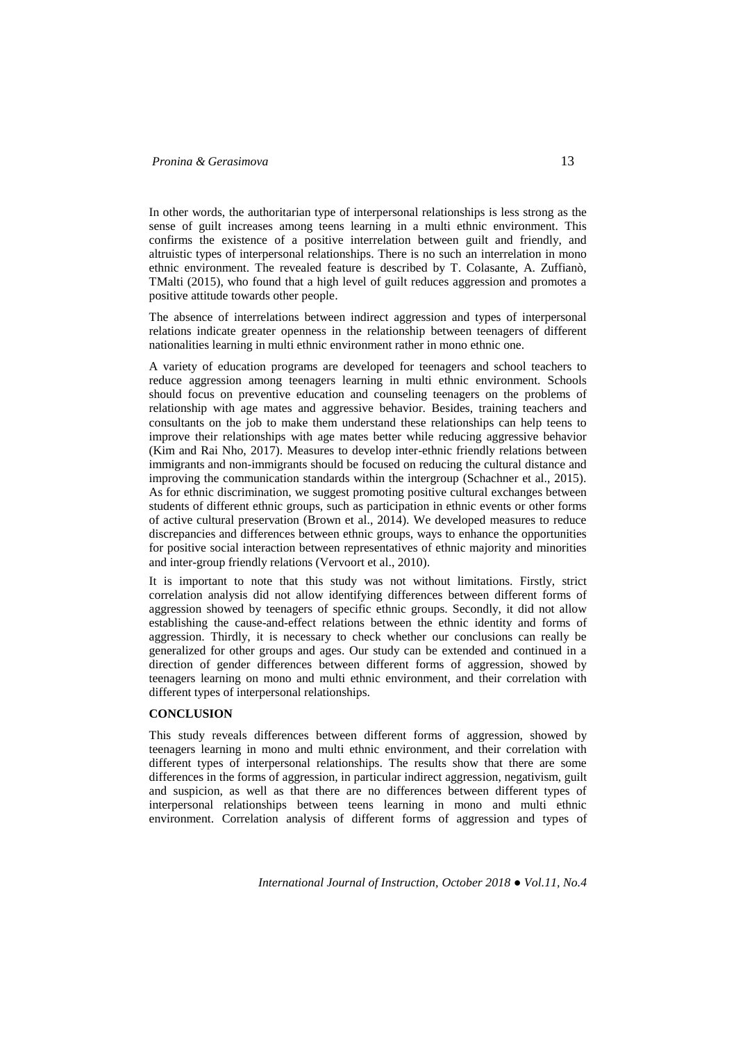## *Pronina & Gerasimova* 13

In other words, the authoritarian type of interpersonal relationships is less strong as the sense of guilt increases among teens learning in a multi ethnic environment. This confirms the existence of a positive interrelation between guilt and friendly, and altruistic types of interpersonal relationships. There is no such an interrelation in mono ethnic environment. The revealed feature is described by T. Colasante, A. Zuffianò, TMalti (2015), who found that a high level of guilt reduces aggression and promotes a positive attitude towards other people.

The absence of interrelations between indirect aggression and types of interpersonal relations indicate greater openness in the relationship between teenagers of different nationalities learning in multi ethnic environment rather in mono ethnic one.

A variety of education programs are developed for teenagers and school teachers to reduce aggression among teenagers learning in multi ethnic environment. Schools should focus on preventive education and counseling teenagers on the problems of relationship with age mates and aggressive behavior. Besides, training teachers and consultants on the job to make them understand these relationships can help teens to improve their relationships with age mates better while reducing aggressive behavior (Kim and Rai Nho, 2017). Measures to develop inter-ethnic friendly relations between immigrants and non-immigrants should be focused on reducing the cultural distance and improving the communication standards within the intergroup (Schachner et al., 2015). As for ethnic discrimination, we suggest promoting positive cultural exchanges between students of different ethnic groups, such as participation in ethnic events or other forms of active cultural preservation (Brown et al., 2014). We developed measures to reduce discrepancies and differences between ethnic groups, ways to enhance the opportunities for positive social interaction between representatives of ethnic majority and minorities and inter-group friendly relations (Vervoort et al., 2010).

It is important to note that this study was not without limitations. Firstly, strict correlation analysis did not allow identifying differences between different forms of aggression showed by teenagers of specific ethnic groups. Secondly, it did not allow establishing the cause-and-effect relations between the ethnic identity and forms of aggression. Thirdly, it is necessary to check whether our conclusions can really be generalized for other groups and ages. Our study can be extended and continued in a direction of gender differences between different forms of aggression, showed by teenagers learning on mono and multi ethnic environment, and their correlation with different types of interpersonal relationships.

## **CONCLUSION**

This study reveals differences between different forms of aggression, showed by teenagers learning in mono and multi ethnic environment, and their correlation with different types of interpersonal relationships. The results show that there are some differences in the forms of aggression, in particular indirect aggression, negativism, guilt and suspicion, as well as that there are no differences between different types of interpersonal relationships between teens learning in mono and multi ethnic environment. Correlation analysis of different forms of aggression and types of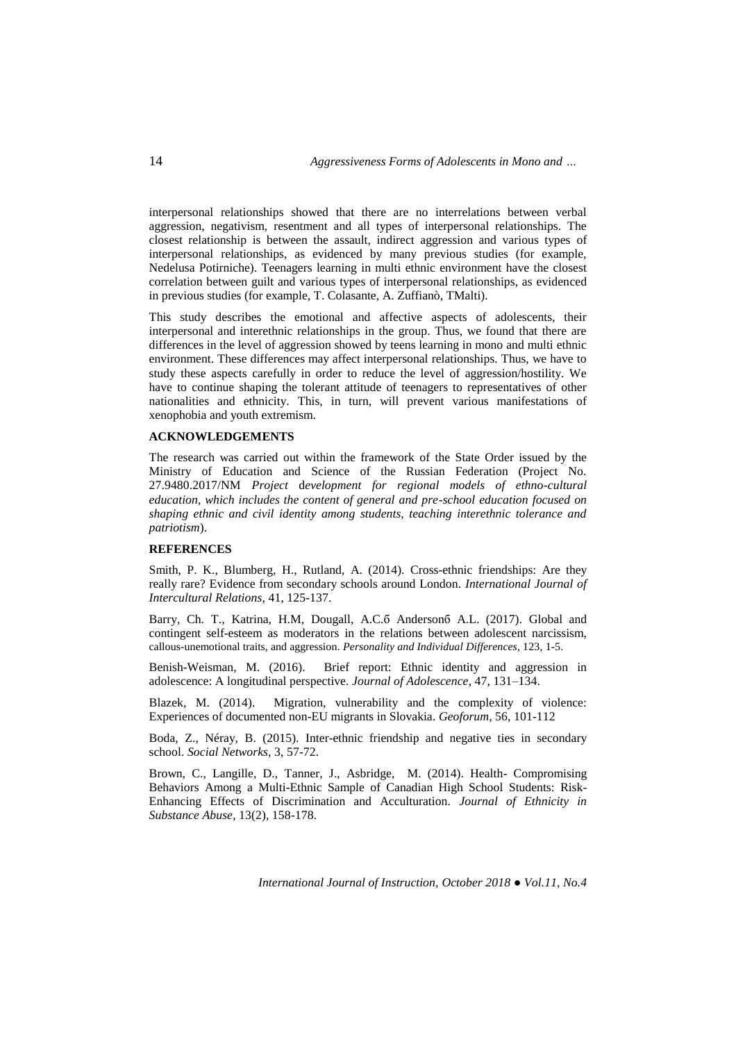interpersonal relationships showed that there are no interrelations between verbal aggression, negativism, resentment and all types of interpersonal relationships. The closest relationship is between the assault, indirect aggression and various types of interpersonal relationships, as evidenced by many previous studies (for example, Nedelusa Potirniche). Teenagers learning in multi ethnic environment have the closest correlation between guilt and various types of interpersonal relationships, as evidenced in previous studies (for example, T. Colasante, A. Zuffianò, TMalti).

This study describes the emotional and affective aspects of adolescents, their interpersonal and interethnic relationships in the group. Thus, we found that there are differences in the level of aggression showed by teens learning in mono and multi ethnic environment. These differences may affect interpersonal relationships. Thus, we have to study these aspects carefully in order to reduce the level of aggression/hostility. We have to continue shaping the tolerant attitude of teenagers to representatives of other nationalities and ethnicity. This, in turn, will prevent various manifestations of xenophobia and youth extremism.

# **ACKNOWLEDGEMENTS**

The research was carried out within the framework of the State Order issued by the Ministry of Education and Science of the Russian Federation (Project No. 27.9480.2017/NM *Project* d*evelopment for regional models of ethno-cultural education, which includes the content of general and pre-school education focused on shaping ethnic and civil identity among students, teaching interethnic tolerance and patriotism*).

## **REFERENCES**

Smith, [P. K.,](http://www.sciencedirect.com/science/article/pii/S0147176714000339#!) Blumberg, [H.,](http://www.sciencedirect.com/science/article/pii/S0147176714000339#!) Rutland, [A.](http://www.sciencedirect.com/science/article/pii/S0147176714000339#!) (2014). Cross-ethnic friendships: Are they really rare? Evidence from secondary schools around London. *[International Journal of](http://www.sciencedirect.com/science/journal/01471767)  [Intercultural Relations,](http://www.sciencedirect.com/science/journal/01471767)* [41,](file:///D:/Горлач%20Поліна/22411/%2041) 125-137.

Barry, [Ch. T., Katrina, H.M, Dougall,](http://www.sciencedirect.com/science/article/pii/S0191886917306426#!) A.C.б [Andersonб](http://www.sciencedirect.com/science/article/pii/S0191886917306426#!) [A.L. \(2017\).](http://www.sciencedirect.com/science/article/pii/S0191886917306426#!) Global and contingent self-esteem as moderators in the relations between adolescent narcissism, callous-unemotional traits, and aggression. *[Personality and Individual Differences](http://www.sciencedirect.com/science/journal/01918869)*[, 123,](http://www.sciencedirect.com/science/journal/01918869) 1-5.

Benish-Weisman, [M. \(2016\).](http://www.sciencedirect.com/science/article/pii/S0140197115001189) Brief report: Ethnic identity and aggression in adolescence: A longitudinal perspective. *[Journal of Adolescence](http://www.sciencedirect.com/science/journal/01401971)*, 47, 131–134.

[Blazek,](https://www.sciencedirect.com/science/article/pii/S0016718514001535#!) M. (2014). Migration, vulnerability and the complexity of violence: Experiences of documented non-EU migrants in Slovakia. *[Geoforum](https://www.sciencedirect.com/science/journal/00167185)*[, 56,](https://www.sciencedirect.com/science/journal/00167185) 101-112

Boda, [Z.,](http://www.sciencedirect.com/science/article/pii/S0378873315000234#!) Néray, [B.](http://www.sciencedirect.com/science/article/pii/S0378873315000234#!) (2015). Inter-ethnic friendship and negative ties in secondary school. *[Social Networks](http://www.sciencedirect.com/science/journal/03788733)*, 3, 57-72.

Brown, C., Langille, D., Tanner, J., Asbridge, M. (2014). Health- Compromising Behaviors Among a Multi-Ethnic Sample of Canadian High School Students: Risk-Enhancing Effects of Discrimination and Acculturation. *Journal of Ethnicity in Substance Abuse*, 13(2), 158-178.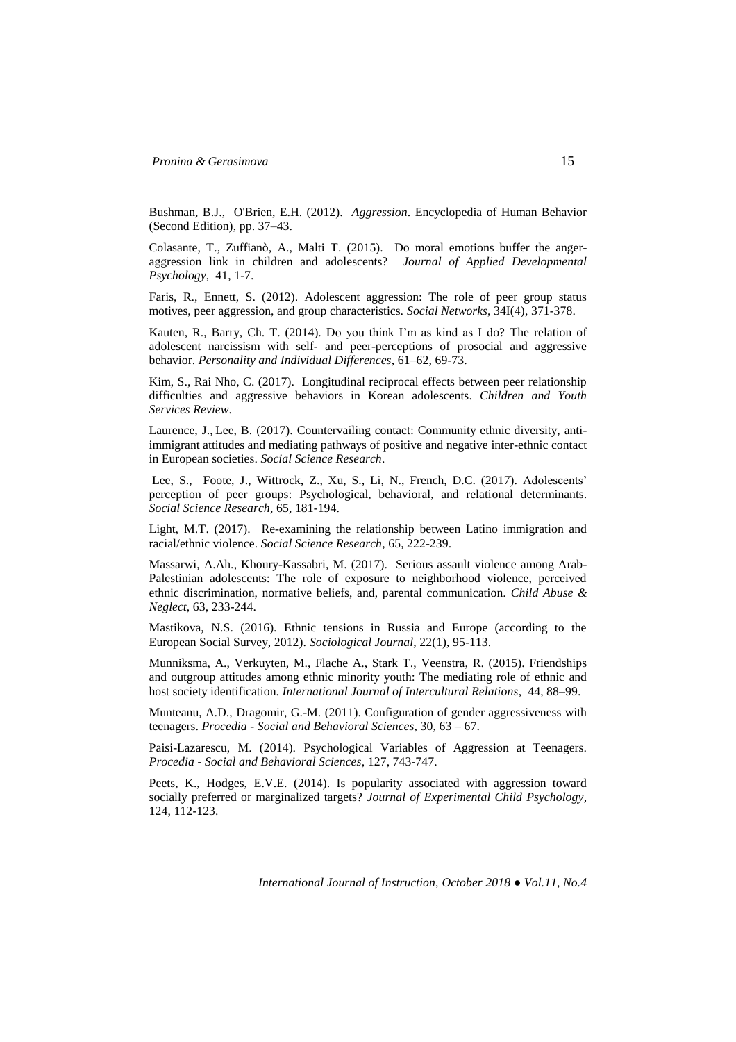Bushman, [B.J.,](http://www.sciencedirect.com/science/article/pii/B9780123750006000057) O'Brien, [E.H. \(2012\).](http://www.sciencedirect.com/science/article/pii/B9780123750006000057) *Aggression*. [Encyclopedia of Human Behavior](http://www.sciencedirect.com/science/referenceworks/9780080961804)  [\(Second Edition\),](http://www.sciencedirect.com/science/referenceworks/9780080961804) pp. 37–43.

Colasante, [T.,](http://www.sciencedirect.com/science/article/pii/S0193397315000556#!) Zuffianò, [A.,](http://www.sciencedirect.com/science/article/pii/S0193397315000556#!) Malti [T. \(](http://www.sciencedirect.com/science/article/pii/S0193397315000556#!)2015). Do moral emotions buffer the angeraggression link in children and adolescents? *[Journal of Applied Developmental](http://www.sciencedirect.com/science/journal/01933973)  [Psychology](http://www.sciencedirect.com/science/journal/01933973)*[, 41,](file:///D:/Горлач%20Поліна/22411/%2041) 1-7.

[Faris,](http://www.sciencedirect.com/science/article/pii/S037887331000033X#!) R., [Ennett,](http://www.sciencedirect.com/science/article/pii/S037887331000033X#!) S. (2012). Adolescent aggression: The role of peer group status motives, peer aggression, and group characteristics. *[Social Networks](http://www.sciencedirect.com/science/journal/03788733)*, 34I(4), 371-378.

Kauten, [R.,](http://www.sciencedirect.com/science/article/pii/S0191886914000300#!) Barry, [Ch. T.](http://www.sciencedirect.com/science/article/pii/S0191886914000300#!) (2014). Do you think I'm as kind as I do? The relation of adolescent narcissism with self- and peer-perceptions of prosocial and aggressive behavior. *[Personality and Individual Differences](http://www.sciencedirect.com/science/journal/01918869)*[, 61–62,](http://www.sciencedirect.com/science/journal/01918869) 69-73.

Kim, [S.,](http://www.sciencedirect.com/science/article/pii/S0190740917305273#!) Rai Nho, [C. \(2017\).](http://www.sciencedirect.com/science/article/pii/S0190740917305273#!) Longitudinal reciprocal effects between peer relationship difficulties and aggressive behaviors in Korean adolescents. *[Children and Youth](http://www.sciencedirect.com/science/journal/01907409)  [Services Review](http://www.sciencedirect.com/science/journal/01907409)*.

[Laurence,](http://www.sciencedirect.com/science/article/pii/S0049089X16306640#!) J., [Lee, B.](http://www.sciencedirect.com/science/article/pii/S0049089X16306640#!) (2017). Countervailing contact: Community ethnic diversity, antiimmigrant attitudes and mediating pathways of positive and negative inter-ethnic contact in European societies. *[Social Science Research](http://www.sciencedirect.com/science/journal/0049089X)*.

[Lee,](http://www.sciencedirect.com/science/article/pii/S0049089X15300727#!) S., [Foote,](http://www.sciencedirect.com/science/article/pii/S0049089X15300727#!) J., [Wittrock,](http://www.sciencedirect.com/science/article/pii/S0049089X15300727#!) Z., [Xu,](http://www.sciencedirect.com/science/article/pii/S0049089X15300727#!) S., [Li, N., French,](http://www.sciencedirect.com/science/article/pii/S0049089X15300727#!) D.C. (2017). Adolescents' perception of peer groups: Psychological, behavioral, and relational determinants. *[Social Science Research](http://www.sciencedirect.com/science/journal/0049089X)*, [65,](http://www.sciencedirect.com/science/journal/0049089X/65/supp/C) 181-194.

Light, [M.T. \(2017\).](http://www.sciencedirect.com/science/article/pii/S0049089X16304574#!) Re-examining the relationship between Latino immigration and racial/ethnic violence. *[Social Science Research](http://www.sciencedirect.com/science/journal/0049089X)*, [65,](http://www.sciencedirect.com/science/journal/0049089X/65/supp/C) 222-23[9.](https://doi.org/10.1016/j.ssresearch.2017.03.005)

Massarwi, [A.Ah.,](http://www.sciencedirect.com/science/article/pii/S0145213416302502#!) Khoury-Kassabri, [M. \(2017\).](http://www.sciencedirect.com/science/article/pii/S0145213416302502#!) Serious assault violence among Arab-Palestinian adolescents: The role of exposure to neighborhood violence, perceived ethnic discrimination, normative beliefs, and, parental communication. *[Child Abuse &](http://www.sciencedirect.com/science/journal/01452134)  [Neglect](http://www.sciencedirect.com/science/journal/01452134)*, [63,](file:///D:/Горлач%20Поліна/22411/63) 233-244.

Mastikova, N.S. (2016). Ethnic tensions in Russia and Europe (according to the European Social Survey, 2012). *Sociological Journal*, 22(1), 95-113.

[Munniksma,](http://www.sciencedirect.com/science/article/pii/S0147176714001461) A., Verkuyten, [M.,](http://www.sciencedirect.com/science/article/pii/S0147176714001461) Flache [A.,](http://www.sciencedirect.com/science/article/pii/S0147176714001461) Stark [T.,](http://www.sciencedirect.com/science/article/pii/S0147176714001461) Veenstra, [R.](http://www.sciencedirect.com/science/article/pii/S0147176714001461) (2015). Friendships and outgroup attitudes among ethnic minority youth: The mediating role of ethnic and host society identification. *[International Journal of Intercultural Relations](http://www.sciencedirect.com/science/journal/01471767)*, [44,](file:///D:/Горлач%20Поліна/22411/%2044) 88–99.

Munteanu, A.D., Dragomir, G.-M. (2011). Configuration of gender aggressiveness with teenagers. *Procedia - Social and Behavioral Sciences*, 30, 63 – 67.

Paisi-Lazarescu, [M.](http://www.sciencedirect.com/science/article/pii/S1877042814024380#!) (2014). Psychological Variables of Aggression at Teenagers. *Procedia - [Social and Behavioral Sciences,](http://www.sciencedirect.com/science/journal/18770428)* [127,](file:///D:/Горлач%20Поліна/22411/%20127) 743-747.

[Peets,](http://www.sciencedirect.com/science/article/pii/S0022096514000307#!) K., [Hodges,](http://www.sciencedirect.com/science/article/pii/S0022096514000307#!) E.V.E. (2014). Is popularity associated with aggression toward socially preferred or marginalized targets? *[Journal of Experimental Child Psychology,](http://www.sciencedirect.com/science/journal/00220965)*  [124,](http://www.sciencedirect.com/science/journal/00220965/124/supp/C) 112-123.